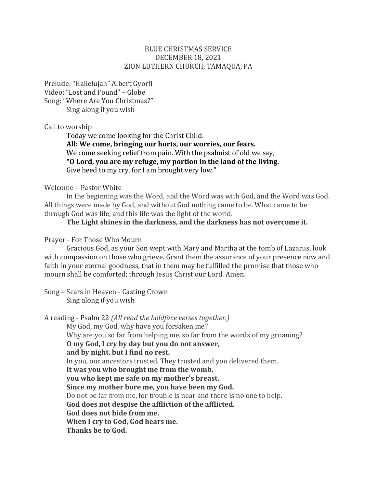### BLUE CHRISTMAS SERVICE DECEMBER 18, 2021 ZION LUTHERN CHURCH, TAMAQUA, PA

Prelude: "Hallelujah" Albert Gyorfi Video: "Lost and Found" - Globe Song: "Where Are You Christmas?" Sing along if you wish

#### Call to worship

Today we come looking for the Christ Child. All: We come, bringing our hurts, our worries, our fears. We come seeking relief from pain. With the psalmist of old we say, **"O Lord, you are my refuge, my portion in the land of the living.**  Give heed to my cry, for I am brought very low."

#### Welcome - Pastor White

In the beginning was the Word, and the Word was with God, and the Word was God. All things were made by God, and without God nothing came to be. What came to be through God was life, and this life was the light of the world.

# **The Light shines in the darkness, and the darkness has not overcome it.**

#### Prayer - For Those Who Mourn

Gracious God, as your Son wept with Mary and Martha at the tomb of Lazarus, look with compassion on those who grieve. Grant them the assurance of your presence now and faith in your eternal goodness, that in them may be fulfilled the promise that those who mourn shall be comforted; through Jesus Christ our Lord. Amen.

Song – Scars in Heaven - Casting Crown Sing along if you wish

A reading - Psalm 22 *(All read the boldface verses together.)* My God, my God, why have you forsaken me? Why are you so far from helping me, so far from the words of my groaning? **O my God, I cry by day but you do not answer, and by night, but I find no rest.** In you, our ancestors trusted. They trusted and you delivered them. **It was you who brought me from the womb, you who kept me safe on my mother's breast. Since my mother bore me, you have been my God.** Do not be far from me, for trouble is near and there is no one to help. **God does not despise the affliction of the afflicted. God does not hide from me. When I cry to God, God hears me. Thanks be to God.**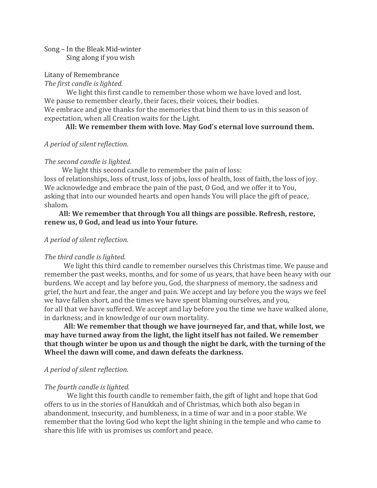### Song – In the Bleak Mid-winter Sing along if you wish

### Litany of Remembrance

#### *The first candle is lighted.*

We light this first candle to remember those whom we have loved and lost. We pause to remember clearly, their faces, their voices, their bodies.

We embrace and give thanks for the memories that bind them to us in this season of expectation, when all Creation waits for the Light.

#### **All: We remember them with love. May God's eternal love surround them.**

*A period of silent reflection*. 

### *The second candle is lighted.*

We light this second candle to remember the pain of loss:

loss of relationships, loss of trust, loss of jobs, loss of health, loss of faith, the loss of joy. We acknowledge and embrace the pain of the past, O God, and we offer it to You, asking that into our wounded hearts and open hands You will place the gift of peace, shalom.

### **All: We remember that through You all things are possible. Refresh, restore, renew us, 0 God, and lead us into Your future.**

### *A period of silent reflection*.

### *The third candle is lighted.*

We light this third candle to remember ourselves this Christmas time. We pause and remember the past weeks, months, and for some of us years, that have been heavy with our burdens. We accept and lay before you, God, the sharpness of memory, the sadness and grief, the hurt and fear, the anger and pain. We accept and lay before you the ways we feel we have fallen short, and the times we have spent blaming ourselves, and you, for all that we have suffered. We accept and lay before you the time we have walked alone, in darkness; and in knowledge of our own mortality.

 **All: We remember that though we have journeyed far, and that, while lost, we may have turned away from the light, the light itself has not failed. We remember that though winter be upon us and though the night be dark, with the turning of the Wheel the dawn will come, and dawn defeats the darkness.**

### *A period of silent reflection*.

### *The fourth candle is lighted.*

We light this fourth candle to remember faith, the gift of light and hope that God offers to us in the stories of Hanukkah and of Christmas, which both also began in abandonment, insecurity, and humbleness, in a time of war and in a poor stable. We remember that the loving God who kept the light shining in the temple and who came to share this life with us promises us comfort and peace.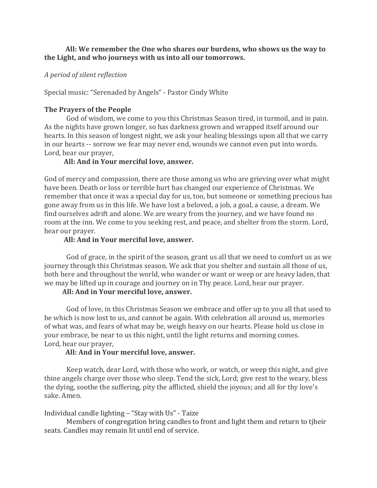# **All: We remember the One who shares our burdens, who shows us the way to the Light, and who journeys with us into all our tomorrows.**

### *A period of silent reflection*

Special music: "Serenaded by Angels" - Pastor Cindy White

# **The Prayers of the People**

God of wisdom, we come to you this Christmas Season tired, in turmoil, and in pain. As the nights have grown longer, so has darkness grown and wrapped itself around our hearts. In this season of longest night, we ask your healing blessings upon all that we carry in our hearts -- sorrow we fear may never end, wounds we cannot even put into words. Lord, hear our prayer,

### **All: And in Your merciful love, answer.**

God of mercy and compassion, there are those among us who are grieving over what might have been. Death or loss or terrible hurt has changed our experience of Christmas. We remember that once it was a special day for us, too, but someone or something precious has gone away from us in this life. We have lost a beloved, a job, a goal, a cause, a dream. We find ourselves adrift and alone. We are weary from the journey, and we have found no room at the inn. We come to you seeking rest, and peace, and shelter from the storm. Lord, hear our prayer.

### **All: And in Your merciful love, answer.**

God of grace, in the spirit of the season, grant us all that we need to comfort us as we journey through this Christmas season. We ask that you shelter and sustain all those of us, both here and throughout the world, who wander or want or weep or are heavy laden, that we may be lifted up in courage and journey on in Thy peace. Lord, hear our prayer.

# **All: And in Your merciful love, answer.**

God of love, in this Christmas Season we embrace and offer up to you all that used to be which is now lost to us, and cannot be again. With celebration all around us, memories of what was, and fears of what may be, weigh heavy on our hearts. Please hold us close in your embrace, be near to us this night, until the light returns and morning comes. Lord, hear our prayer,

### **All: And in Your merciful love, answer.**

Keep watch, dear Lord, with those who work, or watch, or weep this night, and give thine angels charge over those who sleep. Tend the sick, Lord; give rest to the weary, bless the dying, soothe the suffering, pity the afflicted, shield the joyous; and all for thy love's sake. Amen.

# Individual candle lighting – "Stay with Us" - Taize

Members of congregation bring candles to front and light them and return to tjheir seats. Candles may remain lit until end of service.